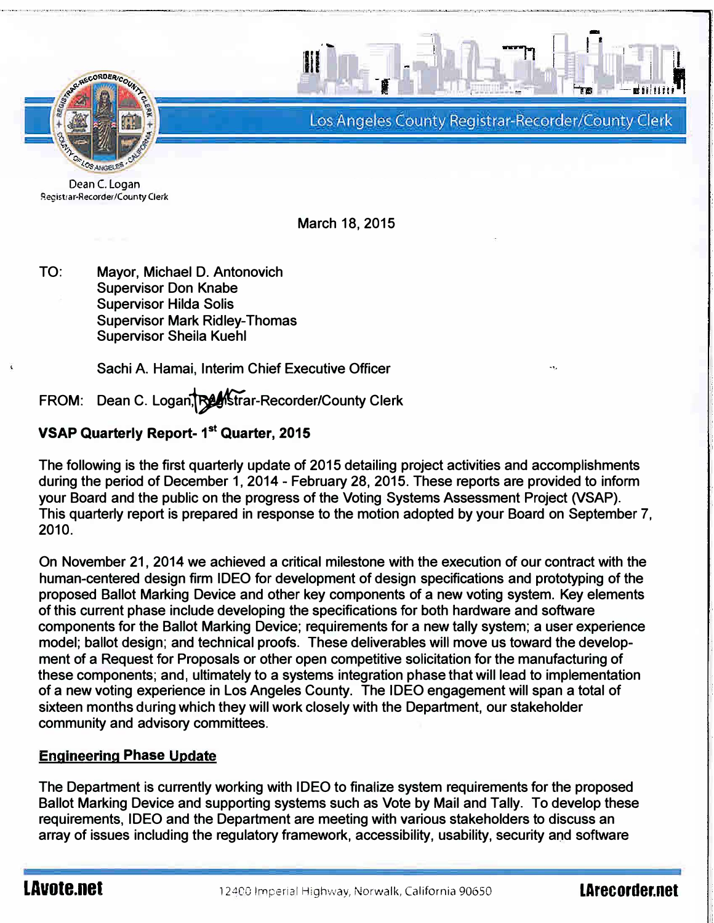

Los Angeles County Registrar-Recorder/County Clerk

..,.,,

Dean C. Logan Registrar-Recorder/County Clerk

March 18, 2015

...

11

TO: Mayor, Michael D. Antonovich Supervisor Don Knabe Supervisor Hilda Solis Supervisor Mark Ridley-Thomas Supervisor Sheila Kuehl

Sachi A. Hamai, Interim Chief Executive Officer

FROM: Dean C. Logan, BestTrar-Recorder/County Clerk

# VSAP Quarterly Report-1<sup>st</sup> Quarter, 2015

The following is the first quarterly update of 2015 detailing project activities and accomplishments during the period of December 1, 2014 - February 28, 2015. These reports are provided to inform your Board and the public on the progress of the Voting Systems Assessment Project (VSAP). This quarterly report is prepared in response to the motion adopted by your Board on September 7, 2010.

On November 21, 2014 we achieved a critical milestone with the execution of our contract with the human-centered design firm IDEO for development of design specifications and prototyping of the proposed Ballot Marking Device and other key components of a new voting system. Key elements of this current phase include developing the specifications for both hardware and software components for the Ballot Marking Device; requirements for a new tally system; a user experience model; ballot design; and technical proofs. These deliverables will move us toward the development of a Request for Proposals or other open competitive solicitation for the manufacturing of these components; and, ultimately to a systems integration phase that will lead to implementation of a new voting experience in Los Angeles County. The IDEO engagement will span a total of sixteen months during which they will work closely with the Department, our stakeholder community and advisory committees.

# <u>Engineering Phase Update</u>

The Department is currently working with IDEO to finalize system requirements for the proposed Ballot Marking Device and supporting systems such as Vote by Mail and Tally. To develop these requirements, IDEO and the Department are meeting with various stakeholders to discuss an array of issues including the regulatory framework, accessibility, usability, security and software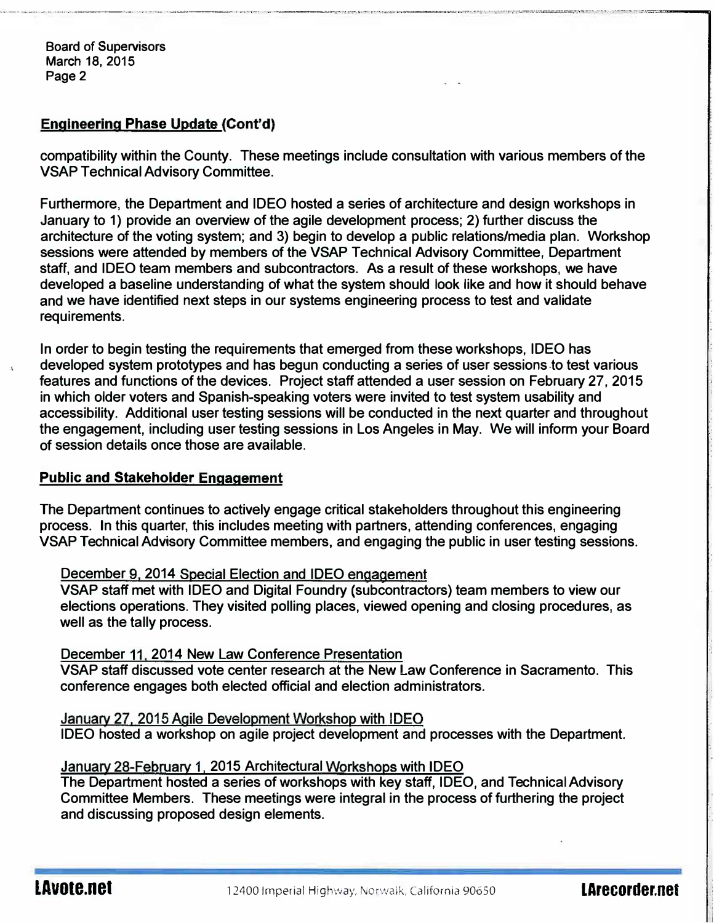Board of Supervisors March 18, 2015 Page 2

# <u>Engineering Phase Update (</u>Cont'd)

compatibility within the County. These meetings include consultation with various members of the VSAP Technical Advisory Committee.

Furthermore, the Department and IDEO hosted a series of architecture and design workshops in January to 1) provide an overview of the agile development process; 2) further discuss the architecture of the voting system; and 3) begin to develop a public relations/media plan. Workshop sessions were attended by members of the VSAP Technical Advisory Committee, Department staff, and IDEO team members and subcontractors. As a result of these workshops, we have developed a baseline understanding of what the system should look like and how it should behave and we have identified next steps in our systems engineering process to test and validate requirements.

In order to begin testing the requirements that emerged from these workshops, IDEO has developed system prototypes and has begun conducting a series of user sessions.to test various features and functions of the devices. Project staff attended a user session on February 27, 2015 in which older voters and Spanish-speaking voters were invited to test system usability and accessibility. Additional user testing sessions will be conducted in the next quarter and throughout the engagement, including user testing sessions in Los Angeles in May. We will inform your Board of session details once those are available.

### <u>Public and Stakeholder Engagement</u>

The Department continues to actively engage critical stakeholders throughout this engineering process. In this quarter, this includes meeting with partners, attending conferences, engaging VSAP Technical Advisory Committee members, and engaging the public in user testing sessions.

<u>December 9, 2014 Special Election and IDEO engagement</u>

VSAP staff met with IDEO and Digital Foundry (subcontractors) team members to view our elections operations. They visited polling places, viewed opening and closing procedures, as well as the tally process.

#### <u>December 11, 2014 New Law Conference Presentation</u>

VSAP staff discussed vote center research at the New Law Conference in Sacramento. This conference engages both elected official and election administrators.

January 27. 2015 Agile Development Workshop with IDEO

IDEO hosted a workshop on agile project development and processes with the Department.

### <u>January 28-February 1, 2015 Architectural Workshops with IDEO</u>

The Department hosted a series of workshops with key staff, IDEO, and Technical Advisory Committee Members. These meetings were integral in the process of furthering the project and discussing proposed design elements.